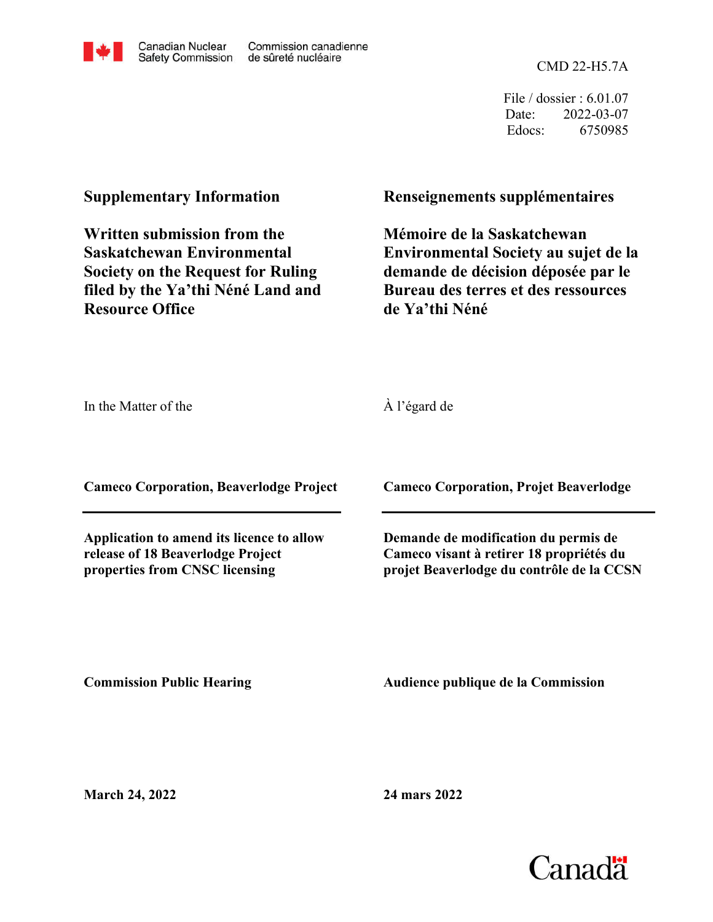

Commission canadienne de sûreté nucléaire

CMD 22-H5.7A

File / dossier : 6.01.07 Date: 2022-03-07 Edocs: 6750985

## **Supplementary Information**

**Written submission from the Saskatchewan Environmental Society on the Request for Ruling filed by the Ya'thi Néné Land and Resource Office**

## **Renseignements supplémentaires**

**Mémoire de la Saskatchewan Environmental Society au sujet de la demande de décision déposée par le Bureau des terres et des ressources de Ya'thi Néné**

In the Matter of the

À l'égard de

**Cameco Corporation, Beaverlodge Project**

**Application to amend its licence to allow release of 18 Beaverlodge Project properties from CNSC licensing**

**Cameco Corporation, Projet Beaverlodge**

**Demande de modification du permis de Cameco visant à retirer 18 propriétés du projet Beaverlodge du contrôle de la CCSN**

**Commission Public Hearing**

**Audience publique de la Commission** 

**March 24, 2022**

**24 mars 2022**